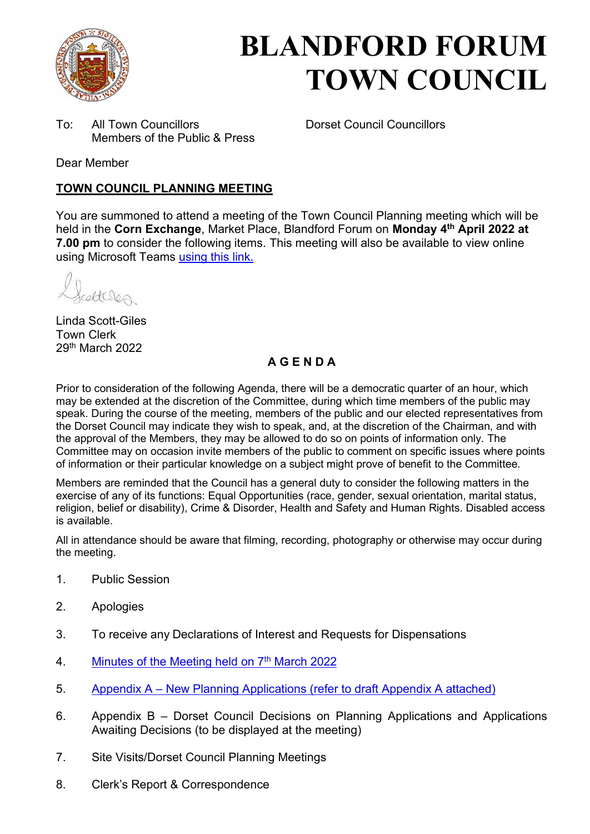

# **BLANDFORD FORUM TOWN COUNCIL**

To: All Town Councillors Dorset Council Councillors Members of the Public & Press

Dear Member

### **TOWN COUNCIL PLANNING MEETING**

You are summoned to attend a meeting of the Town Council Planning meeting which will be held in the **Corn Exchange**, Market Place, Blandford Forum on **Monday 4th April 2022 at 7.00 pm** to consider the following items. This meeting will also be available to view online using Microsoft Teams [using this link.](https://teams.microsoft.com/l/meetup-join/19%3a2cb1b1f9de074efdad40308940ab9ba0%40thread.tacv2/1637588730592?context=%7b%22Tid%22%3a%223cd8f2fb-4c45-4162-86f1-fb87b5f6a138%22%2c%22Oid%22%3a%2265e5950c-ab1c-41cc-9090-4a755c733f54%22%7d)

Atcles

Linda Scott-Giles Town Clerk 29th March 2022

## **A G E N D A**

Prior to consideration of the following Agenda, there will be a democratic quarter of an hour, which may be extended at the discretion of the Committee, during which time members of the public may speak. During the course of the meeting, members of the public and our elected representatives from the Dorset Council may indicate they wish to speak, and, at the discretion of the Chairman, and with the approval of the Members, they may be allowed to do so on points of information only. The Committee may on occasion invite members of the public to comment on specific issues where points of information or their particular knowledge on a subject might prove of benefit to the Committee.

Members are reminded that the Council has a general duty to consider the following matters in the exercise of any of its functions: Equal Opportunities (race, gender, sexual orientation, marital status, religion, belief or disability), Crime & Disorder, Health and Safety and Human Rights. Disabled access is available.

All in attendance should be aware that filming, recording, photography or otherwise may occur during the meeting.

- 1. Public Session
- 2. Apologies
- 3. To receive any Declarations of Interest and Requests for Dispensations
- 4. [Minutes of the Meeting held on 7](https://blandfordforum-tc.gov.uk/wp-content/uploads/2022/03/070322.pdf)<sup>th</sup> March 2022
- 5. Appendix A – [New Planning Applications \(refer to draft Appendix A attached\)](#page-2-0)
- 6. Appendix B Dorset Council Decisions on Planning Applications and Applications Awaiting Decisions (to be displayed at the meeting)
- 7. Site Visits/Dorset Council Planning Meetings
- 8. Clerk's Report & Correspondence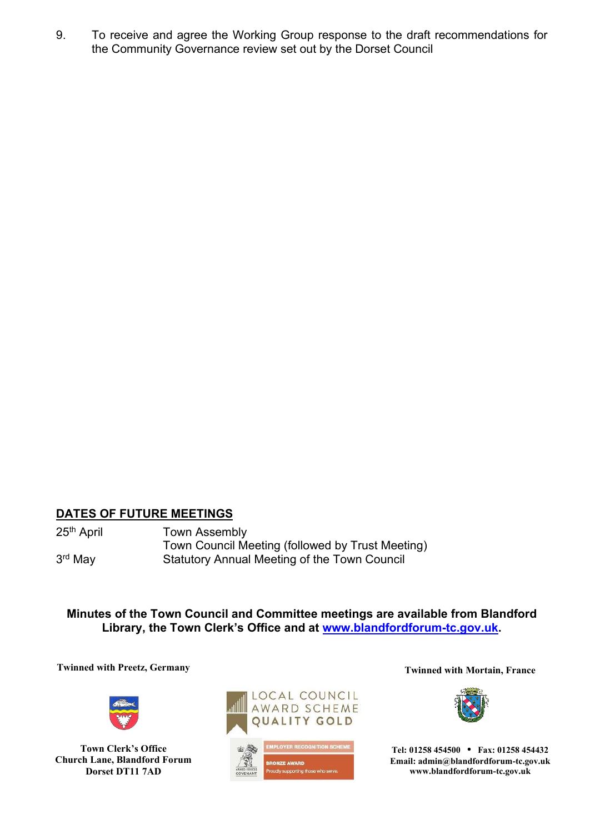9. To receive and agree the Working Group response to the draft recommendations for the Community Governance review set out by the Dorset Council

#### **DATES OF FUTURE MEETINGS**

3rd May

25<sup>th</sup> April **Town Assembly** Town Council Meeting (followed by Trust Meeting) Statutory Annual Meeting of the Town Council

**Minutes of the Town Council and Committee meetings are available from Blandford Library, the Town Clerk's Office and at [www.blandfordforum-tc.gov.uk.](http://www.blandfordforum-tc.gov.uk/)** 

**Twinned with Preetz, Germany Twinned with Mortain, France** 



**Town Clerk's Office Church Lane, Blandford Forum Dorset DT11 7AD**





**Tel: 01258 454500 • Fax: 01258 454432 Email: admin@blandfordforum-tc.gov.uk www.blandfordforum-tc.gov.uk**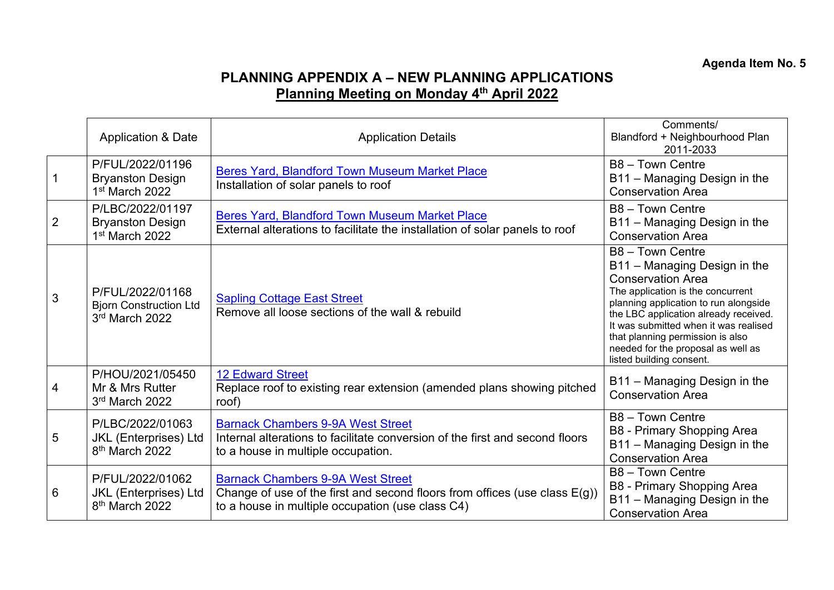# **PLANNING APPENDIX A – NEW PLANNING APPLICATIONS Planning Meeting on Monday 4th April 2022**

<span id="page-2-0"></span>

|                | <b>Application &amp; Date</b>                                                  | <b>Application Details</b>                                                                                                                                                    | Comments/<br>Blandford + Neighbourhood Plan<br>2011-2033                                                                                                                                                                                                                                                                                           |
|----------------|--------------------------------------------------------------------------------|-------------------------------------------------------------------------------------------------------------------------------------------------------------------------------|----------------------------------------------------------------------------------------------------------------------------------------------------------------------------------------------------------------------------------------------------------------------------------------------------------------------------------------------------|
|                | P/FUL/2022/01196<br><b>Bryanston Design</b><br>1 <sup>st</sup> March 2022      | <b>Beres Yard, Blandford Town Museum Market Place</b><br>Installation of solar panels to roof                                                                                 | B8 - Town Centre<br>B11 - Managing Design in the<br><b>Conservation Area</b>                                                                                                                                                                                                                                                                       |
| $\overline{2}$ | P/LBC/2022/01197<br><b>Bryanston Design</b><br>1 <sup>st</sup> March 2022      | Beres Yard, Blandford Town Museum Market Place<br>External alterations to facilitate the installation of solar panels to roof                                                 | B8 - Town Centre<br>B11 - Managing Design in the<br><b>Conservation Area</b>                                                                                                                                                                                                                                                                       |
| 3              | P/FUL/2022/01168<br><b>Bjorn Construction Ltd</b><br>3rd March 2022            | <b>Sapling Cottage East Street</b><br>Remove all loose sections of the wall & rebuild                                                                                         | B8 - Town Centre<br>B11 - Managing Design in the<br><b>Conservation Area</b><br>The application is the concurrent<br>planning application to run alongside<br>the LBC application already received.<br>It was submitted when it was realised<br>that planning permission is also<br>needed for the proposal as well as<br>listed building consent. |
| 4              | P/HOU/2021/05450<br>Mr & Mrs Rutter<br>3rd March 2022                          | <b>12 Edward Street</b><br>Replace roof to existing rear extension (amended plans showing pitched<br>roof)                                                                    | B11 - Managing Design in the<br><b>Conservation Area</b>                                                                                                                                                                                                                                                                                           |
| 5              | P/LBC/2022/01063<br><b>JKL</b> (Enterprises) Ltd<br>8 <sup>th</sup> March 2022 | <b>Barnack Chambers 9-9A West Street</b><br>Internal alterations to facilitate conversion of the first and second floors<br>to a house in multiple occupation.                | B8 - Town Centre<br>B8 - Primary Shopping Area<br>B11 - Managing Design in the<br><b>Conservation Area</b>                                                                                                                                                                                                                                         |
| 6              | P/FUL/2022/01062<br><b>JKL</b> (Enterprises) Ltd<br>8 <sup>th</sup> March 2022 | <b>Barnack Chambers 9-9A West Street</b><br>Change of use of the first and second floors from offices (use class $E(g)$ )<br>to a house in multiple occupation (use class C4) | B8 - Town Centre<br>B8 - Primary Shopping Area<br>B11 - Managing Design in the<br><b>Conservation Area</b>                                                                                                                                                                                                                                         |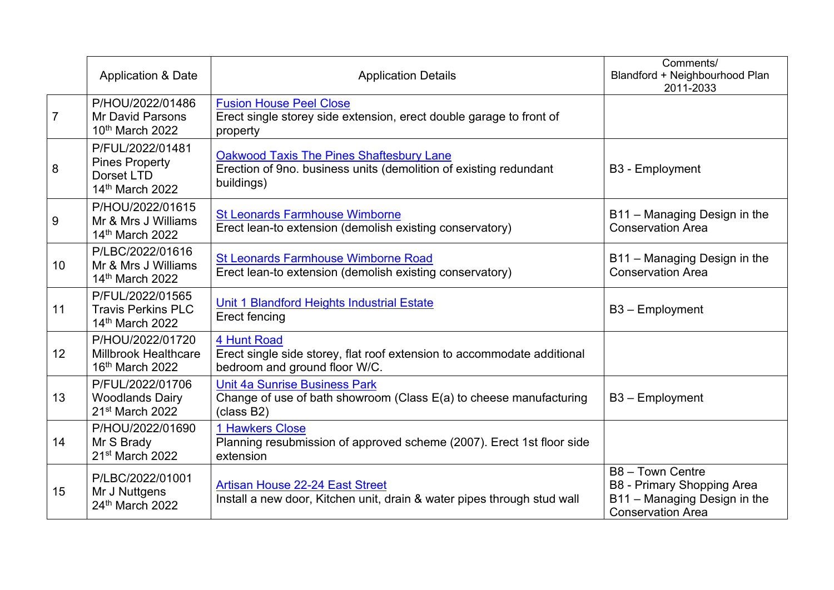|                 | Application & Date                                                             | <b>Application Details</b>                                                                                                         | Comments/<br>Blandford + Neighbourhood Plan<br>2011-2033                                                   |
|-----------------|--------------------------------------------------------------------------------|------------------------------------------------------------------------------------------------------------------------------------|------------------------------------------------------------------------------------------------------------|
| $\overline{7}$  | P/HOU/2022/01486<br><b>Mr David Parsons</b><br>10th March 2022                 | <b>Fusion House Peel Close</b><br>Erect single storey side extension, erect double garage to front of<br>property                  |                                                                                                            |
| 8               | P/FUL/2022/01481<br><b>Pines Property</b><br>Dorset LTD<br>14th March 2022     | <b>Oakwood Taxis The Pines Shaftesbury Lane</b><br>Erection of 9no. business units (demolition of existing redundant<br>buildings) | <b>B3 - Employment</b>                                                                                     |
| 9               | P/HOU/2022/01615<br>Mr & Mrs J Williams<br>14th March 2022                     | <b>St Leonards Farmhouse Wimborne</b><br>Erect lean-to extension (demolish existing conservatory)                                  | B11 - Managing Design in the<br><b>Conservation Area</b>                                                   |
| 10 <sup>°</sup> | P/LBC/2022/01616<br>Mr & Mrs J Williams<br>14th March 2022                     | <b>St Leonards Farmhouse Wimborne Road</b><br>Erect lean-to extension (demolish existing conservatory)                             | B11 - Managing Design in the<br><b>Conservation Area</b>                                                   |
| 11              | P/FUL/2022/01565<br><b>Travis Perkins PLC</b><br>14th March 2022               | Unit 1 Blandford Heights Industrial Estate<br><b>Erect fencing</b>                                                                 | B3 - Employment                                                                                            |
| 12              | P/HOU/2022/01720<br><b>Millbrook Healthcare</b><br>16 <sup>th</sup> March 2022 | 4 Hunt Road<br>Erect single side storey, flat roof extension to accommodate additional<br>bedroom and ground floor W/C.            |                                                                                                            |
| 13              | P/FUL/2022/01706<br><b>Woodlands Dairy</b><br>21 <sup>st</sup> March 2022      | <b>Unit 4a Sunrise Business Park</b><br>Change of use of bath showroom (Class E(a) to cheese manufacturing<br>(class B2)           | $B3 - Employment$                                                                                          |
| 14              | P/HOU/2022/01690<br>Mr S Brady<br>21 <sup>st</sup> March 2022                  | 1 Hawkers Close<br>Planning resubmission of approved scheme (2007). Erect 1st floor side<br>extension                              |                                                                                                            |
| 15              | P/LBC/2022/01001<br>Mr J Nuttgens<br>24th March 2022                           | <b>Artisan House 22-24 East Street</b><br>Install a new door, Kitchen unit, drain & water pipes through stud wall                  | B8 - Town Centre<br>B8 - Primary Shopping Area<br>B11 - Managing Design in the<br><b>Conservation Area</b> |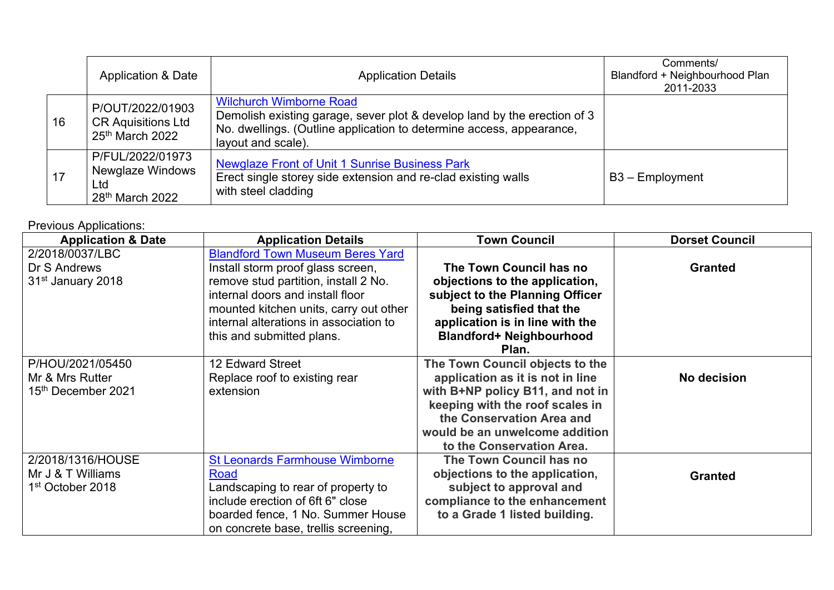|    |    | <b>Application &amp; Date</b>                                                                                                                                                                                                                                                  | <b>Application Details</b>                                                                                                             | Comments/<br>Blandford + Neighbourhood Plan<br>2011-2033 |
|----|----|--------------------------------------------------------------------------------------------------------------------------------------------------------------------------------------------------------------------------------------------------------------------------------|----------------------------------------------------------------------------------------------------------------------------------------|----------------------------------------------------------|
|    | 16 | <b>Wilchurch Wimborne Road</b><br>P/OUT/2022/01903<br>Demolish existing garage, sever plot & develop land by the erection of 3<br><b>CR Aquisitions Ltd</b><br>No. dwellings. (Outline application to determine access, appearance,<br>$25th$ March 2022<br>layout and scale). |                                                                                                                                        |                                                          |
| 17 |    | P/FUL/2022/01973<br><b>Newglaze Windows</b><br><b>Ltd</b><br>28 <sup>th</sup> March 2022                                                                                                                                                                                       | Newglaze Front of Unit 1 Sunrise Business Park<br>Erect single storey side extension and re-clad existing walls<br>with steel cladding | $B3 - Employment$                                        |

Previous Applications:

| <b>Application &amp; Date</b>                                          | <b>Application Details</b>                                                                                                                                                                                                                                                | <b>Town Council</b>                                                                                                                                                                                                                    | <b>Dorset Council</b> |
|------------------------------------------------------------------------|---------------------------------------------------------------------------------------------------------------------------------------------------------------------------------------------------------------------------------------------------------------------------|----------------------------------------------------------------------------------------------------------------------------------------------------------------------------------------------------------------------------------------|-----------------------|
| 2/2018/0037/LBC<br>Dr S Andrews<br>31 <sup>st</sup> January 2018       | <b>Blandford Town Museum Beres Yard</b><br>Install storm proof glass screen,<br>remove stud partition, install 2 No.<br>internal doors and install floor<br>mounted kitchen units, carry out other<br>internal alterations in association to<br>this and submitted plans. | The Town Council has no<br>objections to the application,<br>subject to the Planning Officer<br>being satisfied that the<br>application is in line with the<br><b>Blandford+ Neighbourhood</b><br>Plan.                                | <b>Granted</b>        |
| P/HOU/2021/05450<br>Mr & Mrs Rutter<br>15 <sup>th</sup> December 2021  | 12 Edward Street<br>Replace roof to existing rear<br>extension                                                                                                                                                                                                            | The Town Council objects to the<br>application as it is not in line<br>with B+NP policy B11, and not in<br>keeping with the roof scales in<br>the Conservation Area and<br>would be an unwelcome addition<br>to the Conservation Area. | No decision           |
| 2/2018/1316/HOUSE<br>Mr J & T Williams<br>1 <sup>st</sup> October 2018 | <b>St Leonards Farmhouse Wimborne</b><br>Road<br>Landscaping to rear of property to<br>include erection of 6ft 6" close<br>boarded fence, 1 No. Summer House<br>on concrete base, trellis screening,                                                                      | The Town Council has no<br>objections to the application,<br>subject to approval and<br>compliance to the enhancement<br>to a Grade 1 listed building.                                                                                 | <b>Granted</b>        |